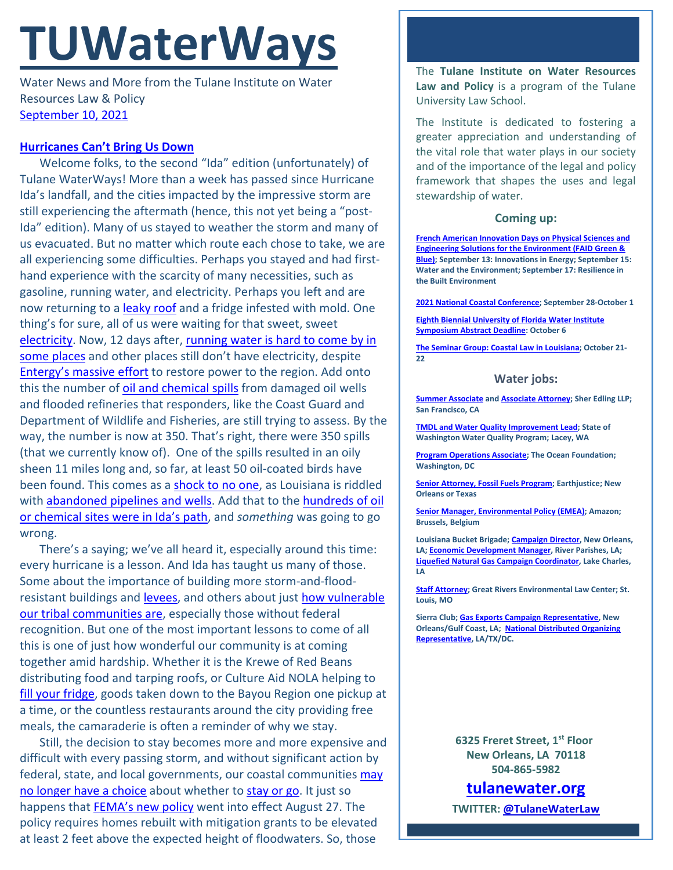# **TUWaterWays**

Water News and More from the Tulane Institute on Water Resources Law & Policy [September 10, 2021](https://thisdayinwaterhistory.wpcomstaging.com/2018/09/10/september-10-2008-last-issue-of-safedrinkingwater-com-news-posted-5/)

## **[Hurricanes Can't Bring Us Down](https://www.youtube.com/watch?v=z9nkzaOPP6g)**

Welcome folks, to the second "Ida" edition (unfortunately) of Tulane WaterWays! More than a week has passed since Hurricane Ida's landfall, and the cities impacted by the impressive storm are still experiencing the aftermath (hence, this not yet being a "post-Ida" edition). Many of us stayed to weather the storm and many of us evacuated. But no matter which route each chose to take, we are all experiencing some difficulties. Perhaps you stayed and had firsthand experience with the scarcity of many necessities, such as gasoline, running water, and electricity. Perhaps you left and are now returning to a [leaky roof](https://gfycat.com/charminghopefulgalapagoshawk) and a fridge infested with mold. One thing's for sure, all of us were waiting for that sweet, sweet [electricity.](https://www.youtube.com/watch?v=Mp4DhrE83tA) Now, 12 days after, [running water is hard to come by](https://www.nola.com/news/environment/article_fb59f938-102f-11ec-b2da-cf0efa84011b.html) in [some places](https://www.nola.com/news/environment/article_fb59f938-102f-11ec-b2da-cf0efa84011b.html) and other places still don't have electricity, despite [Entergy's massive effort](https://www.fox8live.com/2021/09/07/entergy-says-more-than-525k-customers-have-power-back-statewide-including-75-percent-new-orleans/) to restore power to the region. Add onto this the number of [oil and chemical spills](https://www.nola.com/news/environment/article_133c6d96-0f32-11ec-9642-0fb29acbbdba.html) from damaged oil wells and flooded refineries that responders, like the Coast Guard and Department of Wildlife and Fisheries, are still trying to assess. By the way, the number is now at 350. That's right, there were 350 spills (that we currently know of). One of the spills resulted in an oily sheen 11 miles long and, so far, at least 50 oil-coated birds have been found. This comes as a [shock to no one,](https://tenor.com/view/shocked-bored-unsurprised-futurama-fry-gif-19739787) as Louisiana is riddled with [abandoned pipelines and wells.](https://www.politico.com/news/2020/05/11/orphaned-oil-wells-to-squeeze-state-coffers-249138) Add that to the hundreds of oil or chemical sites [were in Ida's path,](https://www.nola.com/news/environment/article_85d4a426-0835-11ec-80b5-0b11ebddb24b.html) and *something* was going to go wrong.

There's a saying; we've all heard it, especially around this time: every hurricane is a lesson. And Ida has taught us many of those. Some about the importance of building more storm-and-floodresistant buildings and [levees,](https://www.nola.com/news/environment/article_e884ba86-0cf7-11ec-a52a-037385de5191.html) and others about just how vulnerable [our tribal communities are,](https://www.nola.com/news/environment/article_8751e728-0d8a-11ec-9fa1-cb44d2a508a1.html) especially those without federal recognition. But one of the most important lessons to come of all this is one of just how wonderful our community is at coming together amid hardship. Whether it is the Krewe of Red Beans distributing food and tarping roofs, or Culture Aid NOLA helping to [fill your fridge,](https://wgno.com/news/massive-fill-the-fridge-grocery-giveaway-in-nola/) goods taken down to the Bayou Region one pickup at a time, or the countless restaurants around the city providing free meals, the camaraderie is often a reminder of why we stay.

Still, the decision to stay becomes more and more expensive and difficult with every passing storm, and without significant action by federal, state, and local governments, our coastal communitie[s may](https://www.theatlantic.com/science/archive/2021/09/hurricane-ida-louisiana-climate-migration/619971/)  [no longer have a choice](https://www.theatlantic.com/science/archive/2021/09/hurricane-ida-louisiana-climate-migration/619971/) about whether to [stay or go.](https://www.youtube.com/watch?v=BN1WwnEDWAM) It just so happens that [FEMA's new policy](https://subscriber.politicopro.com/article/eenews/2021/09/07/fema-rebuilt-homes-must-be-elevated-above-flood-levels-280253) went into effect August 27. The policy requires homes rebuilt with mitigation grants to be elevated at least 2 feet above the expected height of floodwaters. So, those

The **Tulane Institute on Water Resources Law and Policy** is a program of the Tulane University Law School.

The Institute is dedicated to fostering a greater appreciation and understanding of the vital role that water plays in our society and of the importance of the legal and policy framework that shapes the uses and legal stewardship of water.

### **Coming up:**

**[French American Innovation Days on Physical Sciences and](https://faid-houston.france-science.org/)  [Engineering Solutions for the Environment \(FAID Green &](https://faid-houston.france-science.org/)  [Blue\);](https://faid-houston.france-science.org/) September 13: Innovations in Energy; September 15: Water and the Environment; September 17: Resilience in the Built Environment** 

**[2021 National Coastal Conference;](https://asbpa.org/conferences/) September 28-October 1** 

**[Eighth Biennial University of Florida Water Institute](https://conference.ifas.ufl.edu/waterinstitute/call-abstracts.html)  [Symposium Abstract Deadline:](https://conference.ifas.ufl.edu/waterinstitute/call-abstracts.html) October 6**

**[The Seminar Group: Coastal Law in Louisiana;](https://www.theseminargroup.net/seminardetl.aspx?id=6027) October 21- 22**

### **Water jobs:**

**[Summer Associate](https://sheredling.bamboohr.com/jobs/view.php?id=27) an[d Associate Attorney;](https://sheredling.bamboohr.com/jobs/view.php?id=22&source=other) Sher Edling LLP; San Francisco, CA**

**[TMDL and Water Quality Improvement Lead;](https://www.governmentjobs.com/careers/washington/jobs/3167604/tmdl-and-water-quality-improvement-lead-environmental-specialist-4) State of Washington Water Quality Program; Lacey, WA**

**[Program Operations Associate;](https://tof.bamboohr.com/jobs/view.php?id=29) The Ocean Foundation; Washington, DC**

**[Senior Attorney, Fossil Fuels Program;](https://earthjustice.org/about/jobs/40606/senior-attorney-fossil-fuels-program) Earthjustice; New Orleans or Texas**

**[Senior Manager, Environmental Policy \(EMEA\);](https://amazon.jobs/en/jobs/1586735/senior-manager-environmental-policy-emea) Amazon; Brussels, Belgium**

**Louisiana Bucket Brigade[; Campaign Director,](https://labucketbrigade.org/now-hiring-campaign-director/) New Orleans, LA[; Economic Development Manager,](https://labucketbrigade.org/now-hiring-economic-development-manager/) River Parishes, LA; [Liquefied Natural Gas Campaign Coordinator,](https://labucketbrigade.org/now-hiring-liquefied-natural-gas-campaign-coordinator/) Lake Charles, LA**

**[Staff Attorney;](https://greatriverslaw.org/job-openings/) Great Rivers Environmental Law Center; St. Louis, MO**

**Sierra Club[; Gas Exports Campaign Representative,](https://phf.tbe.taleo.net/phf01/ats/careers/v2/viewRequisition?org=SIERRACLUB&cws=42&rid=1797) New Orleans/Gulf Coast, LA; [National Distributed Organizing](https://phf.tbe.taleo.net/phf01/ats/careers/v2/viewRequisition?org=SIERRACLUB&cws=39&rid=1790)  [Representative,](https://phf.tbe.taleo.net/phf01/ats/careers/v2/viewRequisition?org=SIERRACLUB&cws=39&rid=1790) LA/TX/DC.**

> **6325 Freret Street, 1st Floor New Orleans, LA 70118 504-865-5982**

**tulanewater.org**

**TWITTER: [@TulaneWaterLaw](http://www.twitter.com/TulaneWaterLaw)**